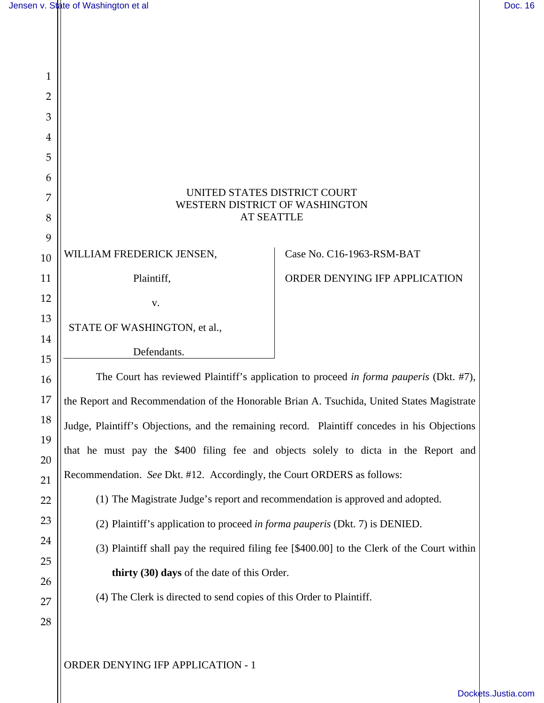| $\mathbf{1}$   |                                                                                               |                               |
|----------------|-----------------------------------------------------------------------------------------------|-------------------------------|
| $\overline{2}$ |                                                                                               |                               |
| 3              |                                                                                               |                               |
| 4              |                                                                                               |                               |
| 5              |                                                                                               |                               |
| 6              |                                                                                               |                               |
| 7              | UNITED STATES DISTRICT COURT<br>WESTERN DISTRICT OF WASHINGTON                                |                               |
| 8              | <b>AT SEATTLE</b>                                                                             |                               |
| 9              |                                                                                               | Case No. C16-1963-RSM-BAT     |
| 10             | WILLIAM FREDERICK JENSEN,                                                                     |                               |
| 11             | Plaintiff,                                                                                    | ORDER DENYING IFP APPLICATION |
| 12             | v.                                                                                            |                               |
| 13             | STATE OF WASHINGTON, et al.,                                                                  |                               |
| 14             | Defendants.                                                                                   |                               |
| 15<br>16       | The Court has reviewed Plaintiff's application to proceed in forma pauperis (Dkt. #7),        |                               |
| 17             | the Report and Recommendation of the Honorable Brian A. Tsuchida, United States Magistrate    |                               |
| 18             | Judge, Plaintiff's Objections, and the remaining record. Plaintiff concedes in his Objections |                               |
| 19             | that he must pay the \$400 filing fee and objects solely to dicta in the Report and           |                               |
| 20             |                                                                                               |                               |
| 21             | Recommendation. See Dkt. #12. Accordingly, the Court ORDERS as follows:                       |                               |
| 22             | (1) The Magistrate Judge's report and recommendation is approved and adopted.                 |                               |
| 23             | (2) Plaintiff's application to proceed in forma pauperis (Dkt. 7) is DENIED.                  |                               |
| 24             | (3) Plaintiff shall pay the required filing fee [\$400.00] to the Clerk of the Court within   |                               |
| 25<br>26       | thirty (30) days of the date of this Order.                                                   |                               |
| 27             | (4) The Clerk is directed to send copies of this Order to Plaintiff.                          |                               |
| 28             |                                                                                               |                               |
|                |                                                                                               |                               |
|                | ORDER DENYING IFP APPLICATION - 1                                                             |                               |